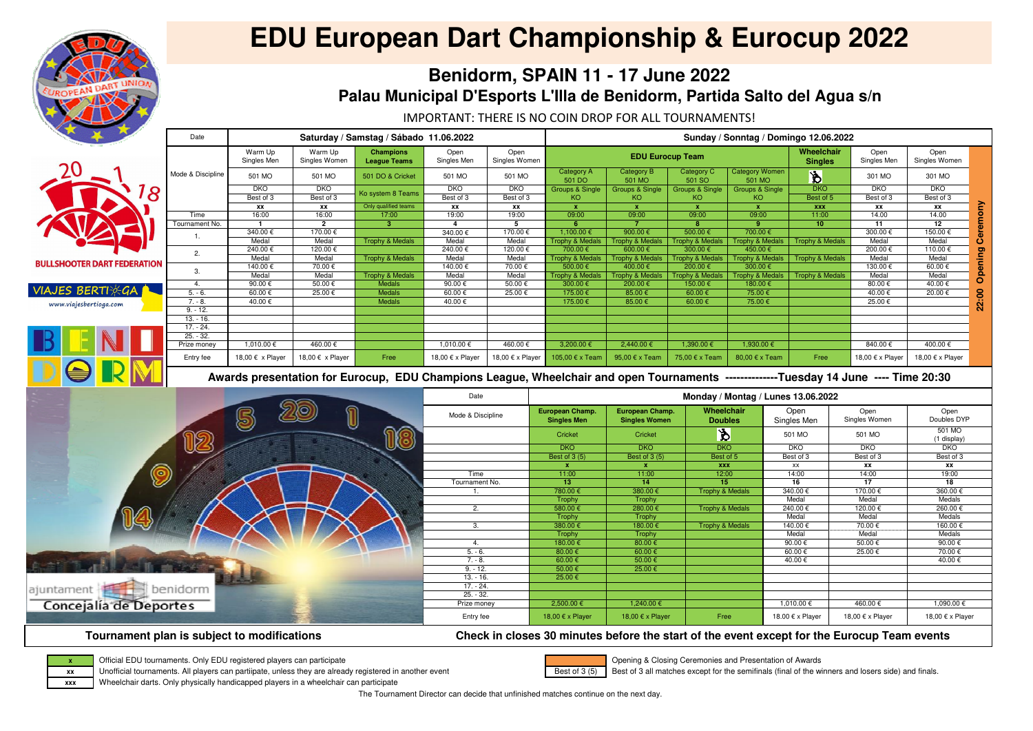IMPORTANT: THERE IS NO COIN DROP FOR ALL TOURNAMENTS!

The Tournament Director can decide that unfinished matches continue on the next day.

|                                    | Date              |                        | Saturday / Samstag / Sábado 11.06.2022 | Sunday / Sonntag / Domingo 12.06.2022                                                                                               |                          |                       |                                              |                                         |                                     |                                    |                                 |                              |                                |          |
|------------------------------------|-------------------|------------------------|----------------------------------------|-------------------------------------------------------------------------------------------------------------------------------------|--------------------------|-----------------------|----------------------------------------------|-----------------------------------------|-------------------------------------|------------------------------------|---------------------------------|------------------------------|--------------------------------|----------|
|                                    |                   | Warm Up<br>Singles Men | Warm Up<br>Singles Women               | <b>Champions</b><br><b>League Teams</b>                                                                                             | Open<br>Singles Men      | Open<br>Singles Women |                                              |                                         | <b>EDU Eurocup Team</b>             |                                    | Wheelchair<br><b>Singles</b>    | Open<br>Singles Men          | Open<br>Singles Women          |          |
|                                    | Mode & Discipline | 501 MO                 | 501 MO                                 | 501 DO & Cricket                                                                                                                    | 501 MO                   | 501 MO                | <b>Category A</b><br>501 DO                  | <b>Category B</b><br>501 MO             | <b>Category C</b><br>501 SO         | <b>Category Women</b><br>501 MO    | $\overline{\mathbf{\check{B}}}$ | 301 MO                       | 301 MO                         |          |
| 8                                  |                   | <b>DKO</b>             | <b>DKO</b>                             |                                                                                                                                     | <b>DKO</b>               | <b>DKO</b>            | <b>Groups &amp; Single</b>                   | <b>Groups &amp; Single</b>              | <b>Groups &amp; Single</b>          | <b>Groups &amp; Single</b>         | $\overline{DKO}$                | <b>DKO</b>                   | <b>DKO</b>                     |          |
|                                    |                   | Best of 3              | Best of 3                              | Ko system 8 Teams                                                                                                                   | Best of 3                | Best of 3             | KO.                                          | KO.                                     | KO                                  | KO <sub>1</sub>                    | Best of 5                       | Best of 3                    | Best of 3                      |          |
|                                    |                   | XX                     | XX                                     | Only qualified teams                                                                                                                | XX                       | XX                    | $\mathbf{x}$                                 | $\mathbf{x}$                            | $\mathbf{x}$                        | $\mathbf{x}$                       | <b>XXX</b>                      | XX                           | XX                             | Ceremony |
|                                    | Time              | 16:00                  | 16:00                                  | 17:00                                                                                                                               | 19:00                    | 19:00                 | 09:00                                        | 09:00                                   | 09:00                               | 09:00                              | 11:00                           | 14.00                        | 14.00                          |          |
|                                    | Tournament No.    | $\overline{1}$         | $\overline{2}$                         | $\overline{\mathbf{3}}$                                                                                                             | 4                        | $5\overline{5}$       | 6                                            | $\overline{7}$                          | 8                                   | -9                                 | 10 <sub>1</sub>                 | 11                           | 12                             |          |
|                                    | -1.               | 340.00€                | 170.00 €                               |                                                                                                                                     | 340.00€                  | 170.00 €              | 1,100.00 €                                   | 900.00 $\epsilon$                       | $500.00 \in$                        | $700.00 \in$                       |                                 | 300.00€                      | 150.00 €                       |          |
|                                    |                   | Medal                  | Medal                                  | <b>Trophy &amp; Medals</b>                                                                                                          | Medal                    | Medal                 | <b>Trophy &amp; Medals</b>                   | <b>Trophy &amp; Medals</b>              | <b>Trophy &amp; Medals</b>          | <b>Trophy &amp; Medals</b>         | <b>Trophy &amp; Medals</b>      | Medal                        | Medal                          |          |
|                                    | 2.                | 240.00 €               | 120.00 €                               |                                                                                                                                     | 240.00€                  | 120.00€               | 700.00 €                                     | 600.00€                                 | 300.00 €                            | 450.00 €                           |                                 | 200.00€                      | 110.00 €                       | Opening  |
| <b>BULLSHOOTER DART FEDERATION</b> |                   | Medal                  | Medal                                  | <b>Trophy &amp; Medals</b>                                                                                                          | Medal                    | Medal                 | <b>Trophy &amp; Medals</b>                   | <b>Trophy &amp; Medals</b>              | <b>Trophy &amp; Medals</b>          | <b>Trophy &amp; Medals</b>         | <b>Trophy &amp; Medals</b>      | Medal                        | Medal                          |          |
|                                    | 3.                | 140.00 €               | 70.00€                                 |                                                                                                                                     | 140.00 €                 | 70.00€                | 500.00€                                      | 400.00€                                 | 200.00 €                            | 300.00 €                           |                                 | 130.00€                      | 60.00€                         |          |
|                                    |                   | Medal                  | Medal                                  | <b>Trophy &amp; Medals</b>                                                                                                          | Medal                    | Medal                 | <b>Trophy &amp; Medals</b>                   | <b>Trophy &amp; Medals</b>              | <b>Trophy &amp; Medals</b>          | <b>Trophy &amp; Medals</b>         | <b>Trophy &amp; Medals</b>      | Medal                        | Medal                          |          |
|                                    | 4.                | 90.00€                 | 50.00€                                 | <b>Medals</b>                                                                                                                       | 90.00€                   | 50.00€                | 300.00 €                                     | 200.00€                                 | 150.00€                             | 180.00 €                           |                                 | 80.00€                       | 40.00€                         |          |
| <b>VIAJES BERTHEG</b>              | $5. - 6.$         | 60.00€                 | 25.00€                                 | Medals                                                                                                                              | $60.00 \in$              | 25.00€                | 175.00 €                                     | $85.00 \in$                             | 60.00 $\epsilon$                    | 75.00€                             |                                 | 40.00 €                      | 20.00€                         |          |
| www.viajesbertioga.com             | $7. - 8.$         | 40.00€                 |                                        | Medals                                                                                                                              | 40.00€                   |                       | 175.00 €                                     | 85.00€                                  | 60.00 €                             | 75.00€                             |                                 | 25.00€                       |                                | 22:00    |
|                                    | $9. - 12.$        |                        |                                        |                                                                                                                                     |                          |                       |                                              |                                         |                                     |                                    |                                 |                              |                                |          |
|                                    | $13. - 16.$       |                        |                                        |                                                                                                                                     |                          |                       |                                              |                                         |                                     |                                    |                                 |                              |                                |          |
|                                    | $17. - 24.$       |                        |                                        |                                                                                                                                     |                          |                       |                                              |                                         |                                     |                                    |                                 |                              |                                |          |
|                                    | $25. - 32.$       |                        |                                        |                                                                                                                                     |                          |                       |                                              |                                         |                                     |                                    |                                 |                              |                                |          |
|                                    | Prize money       | 1,010.00 €             | 460.00€                                |                                                                                                                                     | 1,010.00 €               | 460.00€               | 3,200.00 €                                   | 2,440.00 €                              | 1,390.00 €                          | 1,930.00 €                         |                                 | 840.00€                      | 400.00€                        |          |
|                                    | Entry fee         | 18,00 € x Player       | 18,00 € x Player                       | Free                                                                                                                                | 18,00 € x Player         | 18,00 € x Player      | 105,00 € x Team                              | 95,00 € x Team                          | 75,00 € x Team                      | 80,00 € x Team                     | Free                            | 18,00 € x Player             | 18,00 € x Player               |          |
|                                    |                   |                        |                                        | Awards presentation for Eurocup, EDU Champions League, Wheelchair and open Tournaments -------------Tuesday 14 June ---- Time 20:30 |                          |                       |                                              |                                         |                                     |                                    |                                 |                              |                                |          |
|                                    |                   |                        |                                        |                                                                                                                                     |                          |                       |                                              |                                         |                                     |                                    |                                 |                              |                                |          |
|                                    |                   |                        |                                        |                                                                                                                                     | Date                     |                       |                                              |                                         |                                     | Monday / Montag / Lunes 13.06.2022 |                                 |                              |                                |          |
|                                    |                   |                        |                                        |                                                                                                                                     | Mode & Discipline        |                       | <b>European Champ.</b><br><b>Singles Men</b> | European Champ.<br><b>Singles Women</b> | <b>Wheelchair</b><br><b>Doubles</b> |                                    | Open<br>Singles Men             | Open<br>Singles Women        | Open<br>Doubles DYP            |          |
|                                    |                   | 5                      | 1                                      |                                                                                                                                     |                          |                       | Cricket                                      | Cricket                                 | $\mathbf{\hat{z}}$                  |                                    | 501 MO                          | 501 MO                       | 501 MO<br>(1 display)          |          |
|                                    |                   |                        |                                        | JC)                                                                                                                                 |                          |                       | DKO                                          | <b>DKO</b>                              | DKO                                 |                                    | DKO                             | <b>DKO</b>                   | <b>DKO</b>                     |          |
|                                    | 18                |                        |                                        |                                                                                                                                     |                          |                       | Best of 3 (5)                                | Best of 3 (5)                           | Best of 5                           |                                    | Best of 3                       | Best of 3                    | Best of 3                      |          |
|                                    |                   |                        |                                        |                                                                                                                                     |                          |                       | $\boldsymbol{\mathsf{x}}$                    | $\mathbf x$                             | <b>XXX</b>                          |                                    | XX                              | XX                           | XX                             |          |
|                                    |                   |                        |                                        |                                                                                                                                     | Time                     |                       | 11:00                                        | 11:00                                   | 12:00                               |                                    | 14:00                           | 14:00                        | 19:00                          |          |
| O                                  |                   |                        |                                        |                                                                                                                                     | Tournament No.           |                       | 13 <sub>1</sub>                              | 14                                      | 15 <sub>1</sub>                     |                                    | 16                              | 17                           | 18                             |          |
|                                    |                   |                        |                                        |                                                                                                                                     |                          |                       | 780.00€                                      | 380.00€                                 | <b>Trophy &amp; Medals</b>          |                                    | 340.00€                         | 170.00€                      | 360.00€                        |          |
|                                    |                   |                        |                                        |                                                                                                                                     |                          |                       | Trophy                                       | Trophy                                  |                                     |                                    | Medal                           | Medal                        | Medals                         |          |
|                                    |                   |                        |                                        |                                                                                                                                     | 2.                       |                       | 580.00€                                      | 280.00€                                 | <b>Trophy &amp; Medals</b>          |                                    | 240.00€                         | 120.00€                      | 260.00€                        |          |
|                                    |                   |                        |                                        |                                                                                                                                     |                          |                       | Trophy                                       | Trophy                                  |                                     |                                    | Medal                           | Medal                        | Medals                         |          |
| USY                                |                   |                        |                                        |                                                                                                                                     | 3.                       |                       | 380.00€                                      | 180.00€                                 | <b>Trophy &amp; Medals</b>          |                                    | 140.00 €                        | 70.00 €                      | 160.00€                        |          |
|                                    |                   |                        |                                        |                                                                                                                                     |                          |                       | Trophy                                       | Trophy                                  |                                     |                                    | Medal                           | Medal                        | Medals                         |          |
|                                    |                   |                        |                                        |                                                                                                                                     | 4.                       |                       | 180.00 €                                     | 80.00 $\epsilon$                        |                                     |                                    | 90.00€                          | $50.00 \in$                  | 90.00 $\epsilon$               |          |
|                                    |                   |                        |                                        |                                                                                                                                     | $5. - 6.$                |                       | 80.00 $\epsilon$                             | 60.00 $\epsilon$                        |                                     |                                    | 60.00€                          | 25.00€                       | 70.00 €                        |          |
|                                    |                   |                        |                                        |                                                                                                                                     | $7. - 8.$                |                       | 60.00 $\epsilon$                             | 50.00 $\epsilon$                        |                                     |                                    | 40.00€                          |                              | 40.00€                         |          |
|                                    |                   |                        |                                        |                                                                                                                                     | $9. - 12.$               |                       | $50.00 \in$                                  | 25.00€                                  |                                     |                                    |                                 |                              |                                |          |
|                                    |                   |                        |                                        |                                                                                                                                     | $13. - 16.$              |                       | 25.00 €                                      |                                         |                                     |                                    |                                 |                              |                                |          |
| ajuntament                         | benidorm          |                        |                                        |                                                                                                                                     | $17. - 24.$              |                       |                                              |                                         |                                     |                                    |                                 |                              |                                |          |
|                                    |                   |                        |                                        |                                                                                                                                     | $25. - 32.$              |                       |                                              |                                         |                                     |                                    |                                 |                              |                                |          |
| Concejalía de Deportes             |                   |                        |                                        |                                                                                                                                     | Prize money<br>Entry fee |                       | $2,500.00 \in$<br>18,00 € x Player           | 1,240.00 €<br>18,00 € x Player          | Free                                |                                    | 1,010.00 €<br>18.00 € x Player  | 460.00 €<br>18,00 € x Player | 1,090.00 €<br>18,00 € x Player |          |

## **Tournament plan is subject to modifications Check in closes 30 minutes before the start of the event except for the Eurocup Team events**



Official EDU tournaments. Only EDU registered players can participate

Unofficial tournaments. All players can partiipate, unless they are already registered in another event

Wheelchair darts. Only physically handicapped players in a wheelchair can participate



# **EDU European Dart Championship & Eurocup 2022**

## **Benidorm, SPAIN 11 - 17 June 2022Palau Municipal D'Esports L'Illa de Benidorm, Partida Salto del Agua s/n**



 Opening & Closing Ceremonies and Presentation of AwardsBest of 3 all matches except for the semifinals (final of the winners and losers side) and finals.